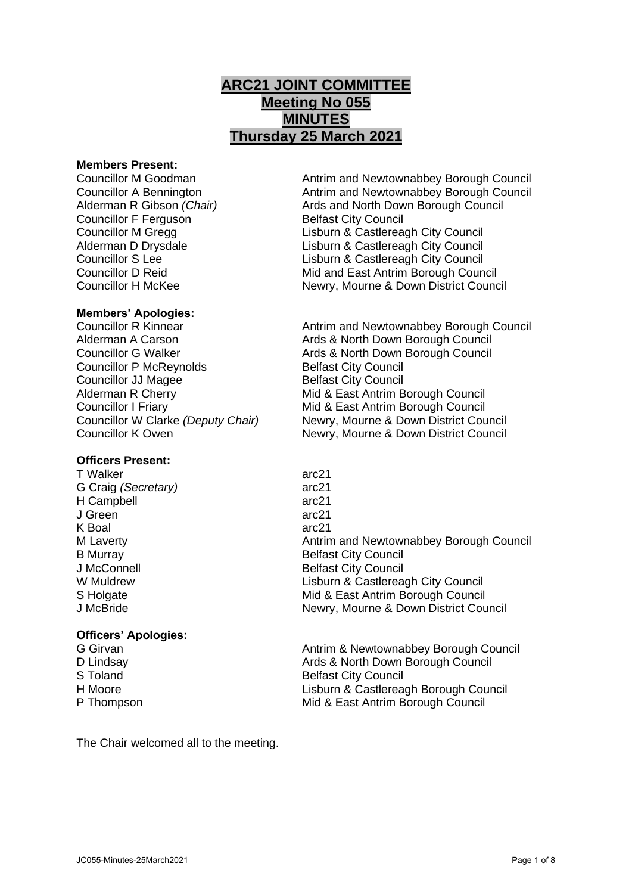## **ARC21 JOINT COMMITTEE Meeting No 055 MINUTES Thursday 25 March 2021**

#### **Members Present:**

Councillor F Ferguson Belfast City Council

## **Members' Apologies:**

Councillor P McReynolds Belfast City Council **Councillor JJ Magee Belfast City Council** 

## **Officers Present:**

T Walker arc21 G Craig *(Secretary)* arc21 H Campbell arc21 J Green arc21 K Boal arc21<br>
M Laverty and the contract of the contract arc21

## **Officers' Apologies:**

Councillor M Goodman Antrim and Newtownabbey Borough Council Councillor A Bennington **Antrim and Newtownabbey Borough Council** Alderman R Gibson *(Chair)* Ards and North Down Borough Council Councillor M Gregg Lisburn & Castlereagh City Council Alderman D Drysdale Lisburn & Castlereagh City Council Councillor S Lee Lisburn & Castlereagh City Council Councillor D Reid Mid and East Antrim Borough Council Councillor H McKee Newry, Mourne & Down District Council

Councillor R Kinnear **Antrim and Newtownabbey Borough Council** Alderman A Carson **Ards & North Down Borough Council** Councillor G Walker **Ards & North Down Borough Council** Alderman R Cherry **Mid & East Antrim Borough Council** Councillor I Friary Mid & East Antrim Borough Council Councillor W Clarke *(Deputy Chair)* Newry, Mourne & Down District Council Councillor K Owen Newry, Mourne & Down District Council

Antrim and Newtownabbey Borough Council B Murray Belfast City Council J McConnell **Belfast City Council** W Muldrew Lisburn & Castlereagh City Council S Holgate **Mid & East Antrim Borough Council** Mid & East Antrim Borough Council J McBride Newry, Mourne & Down District Council

G Girvan **Antrim & Newtownabbey Borough Council** Antrim & Newtownabbey Borough Council D Lindsay **Ards & North Down Borough Council** Pulled Ards & North Down Borough Council S Toland Belfast City Council H Moore Lisburn & Castlereagh Borough Council P Thompson **P** Thompson **Mid & East Antrim Borough Council** 

The Chair welcomed all to the meeting.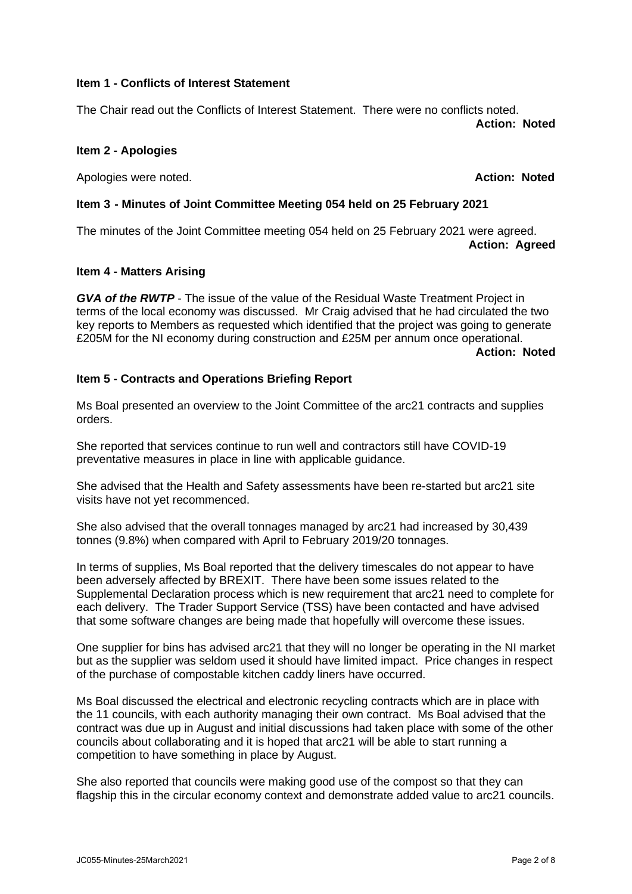#### **Item 1 - Conflicts of Interest Statement**

The Chair read out the Conflicts of Interest Statement. There were no conflicts noted. **Action: Noted**

## **Item 2 - Apologies**

Apologies were noted. **Action: Noted**

## **Item 3 - Minutes of Joint Committee Meeting 054 held on 25 February 2021**

The minutes of the Joint Committee meeting 054 held on 25 February 2021 were agreed. **Action: Agreed**

#### **Item 4 - Matters Arising**

*GVA of the RWTP* - The issue of the value of the Residual Waste Treatment Project in terms of the local economy was discussed. Mr Craig advised that he had circulated the two key reports to Members as requested which identified that the project was going to generate £205M for the NI economy during construction and £25M per annum once operational. **Action: Noted**

#### **Item 5 - Contracts and Operations Briefing Report**

Ms Boal presented an overview to the Joint Committee of the arc21 contracts and supplies orders.

She reported that services continue to run well and contractors still have COVID-19 preventative measures in place in line with applicable guidance.

She advised that the Health and Safety assessments have been re-started but arc21 site visits have not yet recommenced.

She also advised that the overall tonnages managed by arc21 had increased by 30,439 tonnes (9.8%) when compared with April to February 2019/20 tonnages.

In terms of supplies, Ms Boal reported that the delivery timescales do not appear to have been adversely affected by BREXIT. There have been some issues related to the Supplemental Declaration process which is new requirement that arc21 need to complete for each delivery. The Trader Support Service (TSS) have been contacted and have advised that some software changes are being made that hopefully will overcome these issues.

One supplier for bins has advised arc21 that they will no longer be operating in the NI market but as the supplier was seldom used it should have limited impact. Price changes in respect of the purchase of compostable kitchen caddy liners have occurred.

Ms Boal discussed the electrical and electronic recycling contracts which are in place with the 11 councils, with each authority managing their own contract. Ms Boal advised that the contract was due up in August and initial discussions had taken place with some of the other councils about collaborating and it is hoped that arc21 will be able to start running a competition to have something in place by August.

She also reported that councils were making good use of the compost so that they can flagship this in the circular economy context and demonstrate added value to arc21 councils.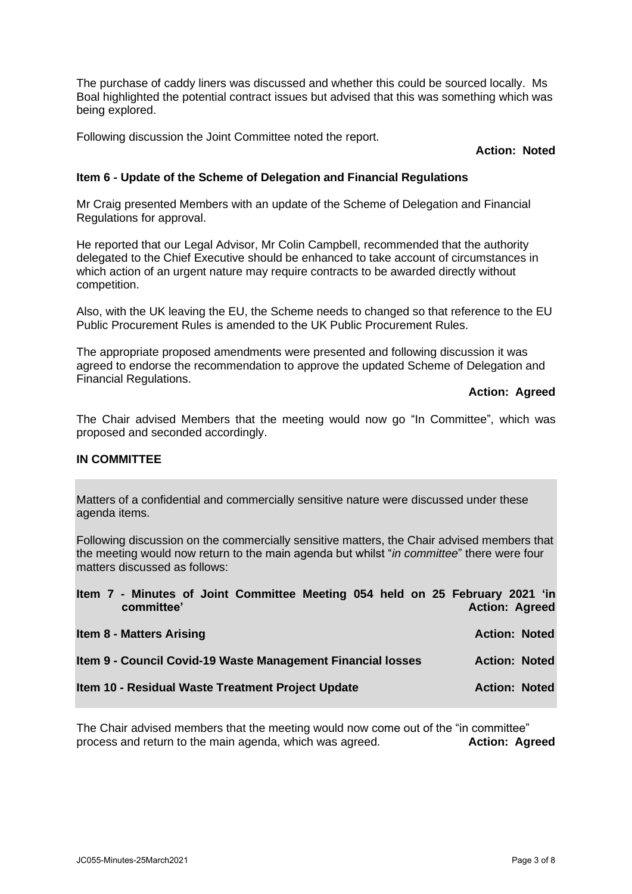The purchase of caddy liners was discussed and whether this could be sourced locally. Ms Boal highlighted the potential contract issues but advised that this was something which was being explored.

Following discussion the Joint Committee noted the report.

**Action: Noted**

## **Item 6 - Update of the Scheme of Delegation and Financial Regulations**

Mr Craig presented Members with an update of the Scheme of Delegation and Financial Regulations for approval.

He reported that our Legal Advisor, Mr Colin Campbell, recommended that the authority delegated to the Chief Executive should be enhanced to take account of circumstances in which action of an urgent nature may require contracts to be awarded directly without competition.

Also, with the UK leaving the EU, the Scheme needs to changed so that reference to the EU Public Procurement Rules is amended to the UK Public Procurement Rules.

The appropriate proposed amendments were presented and following discussion it was agreed to endorse the recommendation to approve the updated Scheme of Delegation and Financial Regulations.

#### **Action: Agreed**

The Chair advised Members that the meeting would now go "In Committee", which was proposed and seconded accordingly.

#### **IN COMMITTEE**

Matters of a confidential and commercially sensitive nature were discussed under these agenda items.

Following discussion on the commercially sensitive matters, the Chair advised members that the meeting would now return to the main agenda but whilst "*in committee*" there were four matters discussed as follows:

| Item 7 - Minutes of Joint Committee Meeting 054 held on 25 February 2021 'in<br>committee' | <b>Action: Agreed</b> |
|--------------------------------------------------------------------------------------------|-----------------------|
| <b>Item 8 - Matters Arising</b>                                                            | <b>Action: Noted</b>  |
| Item 9 - Council Covid-19 Waste Management Financial losses                                | <b>Action: Noted</b>  |
| Item 10 - Residual Waste Treatment Project Update                                          | <b>Action: Noted</b>  |

The Chair advised members that the meeting would now come out of the "in committee" process and return to the main agenda, which was agreed. **Action: Agreed**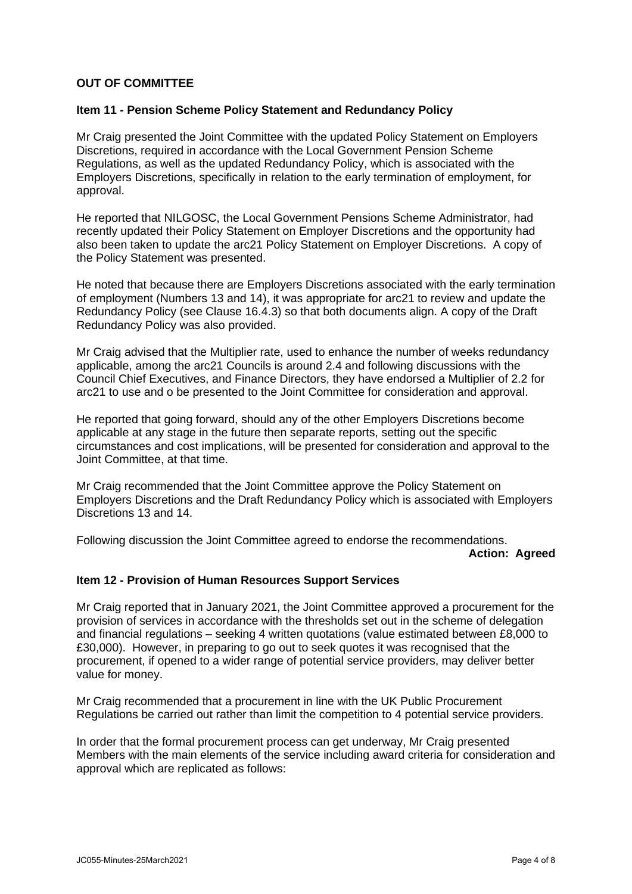## **OUT OF COMMITTEE**

#### **Item 11 - Pension Scheme Policy Statement and Redundancy Policy**

Mr Craig presented the Joint Committee with the updated Policy Statement on Employers Discretions, required in accordance with the Local Government Pension Scheme Regulations, as well as the updated Redundancy Policy, which is associated with the Employers Discretions, specifically in relation to the early termination of employment, for approval.

He reported that NILGOSC, the Local Government Pensions Scheme Administrator, had recently updated their Policy Statement on Employer Discretions and the opportunity had also been taken to update the arc21 Policy Statement on Employer Discretions. A copy of the Policy Statement was presented.

He noted that because there are Employers Discretions associated with the early termination of employment (Numbers 13 and 14), it was appropriate for arc21 to review and update the Redundancy Policy (see Clause 16.4.3) so that both documents align. A copy of the Draft Redundancy Policy was also provided.

Mr Craig advised that the Multiplier rate, used to enhance the number of weeks redundancy applicable, among the arc21 Councils is around 2.4 and following discussions with the Council Chief Executives, and Finance Directors, they have endorsed a Multiplier of 2.2 for arc21 to use and o be presented to the Joint Committee for consideration and approval.

He reported that going forward, should any of the other Employers Discretions become applicable at any stage in the future then separate reports, setting out the specific circumstances and cost implications, will be presented for consideration and approval to the Joint Committee, at that time.

Mr Craig recommended that the Joint Committee approve the Policy Statement on Employers Discretions and the Draft Redundancy Policy which is associated with Employers Discretions 13 and 14.

Following discussion the Joint Committee agreed to endorse the recommendations. **Action: Agreed**

#### **Item 12 - Provision of Human Resources Support Services**

Mr Craig reported that in January 2021, the Joint Committee approved a procurement for the provision of services in accordance with the thresholds set out in the scheme of delegation and financial regulations – seeking 4 written quotations (value estimated between £8,000 to £30,000). However, in preparing to go out to seek quotes it was recognised that the procurement, if opened to a wider range of potential service providers, may deliver better value for money.

Mr Craig recommended that a procurement in line with the UK Public Procurement Regulations be carried out rather than limit the competition to 4 potential service providers.

In order that the formal procurement process can get underway, Mr Craig presented Members with the main elements of the service including award criteria for consideration and approval which are replicated as follows: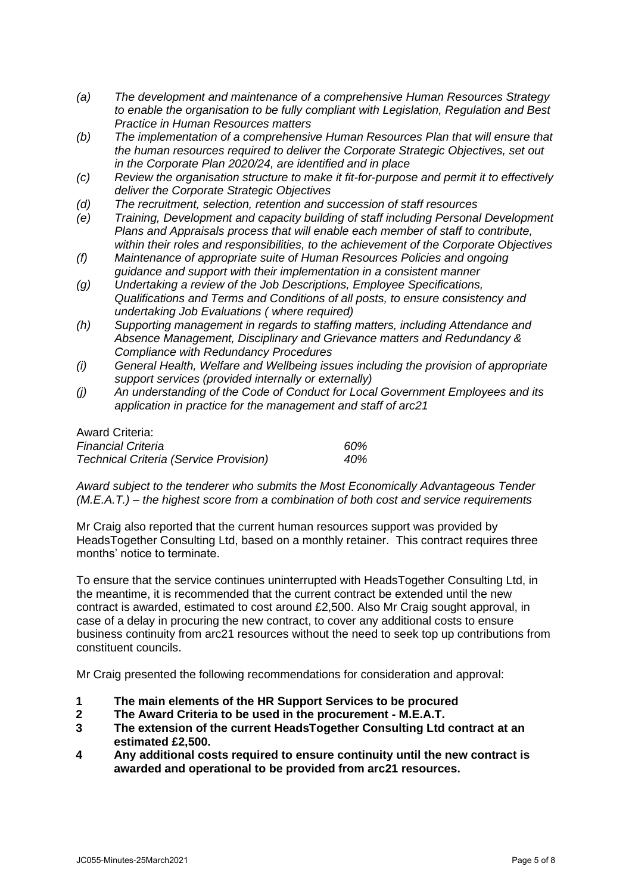- *(a) The development and maintenance of a comprehensive Human Resources Strategy to enable the organisation to be fully compliant with Legislation, Regulation and Best Practice in Human Resources matters*
- *(b) The implementation of a comprehensive Human Resources Plan that will ensure that the human resources required to deliver the Corporate Strategic Objectives, set out in the Corporate Plan 2020/24, are identified and in place*
- *(c) Review the organisation structure to make it fit-for-purpose and permit it to effectively deliver the Corporate Strategic Objectives*
- *(d) The recruitment, selection, retention and succession of staff resources*
- *(e) Training, Development and capacity building of staff including Personal Development Plans and Appraisals process that will enable each member of staff to contribute, within their roles and responsibilities, to the achievement of the Corporate Objectives*
- *(f) Maintenance of appropriate suite of Human Resources Policies and ongoing guidance and support with their implementation in a consistent manner*
- *(g) Undertaking a review of the Job Descriptions, Employee Specifications, Qualifications and Terms and Conditions of all posts, to ensure consistency and undertaking Job Evaluations ( where required)*
- *(h) Supporting management in regards to staffing matters, including Attendance and Absence Management, Disciplinary and Grievance matters and Redundancy & Compliance with Redundancy Procedures*
- *(i) General Health, Welfare and Wellbeing issues including the provision of appropriate support services (provided internally or externally)*
- *(j) An understanding of the Code of Conduct for Local Government Employees and its application in practice for the management and staff of arc21*

| <b>Award Criteria:</b>                        |     |
|-----------------------------------------------|-----|
| <b>Financial Criteria</b>                     | 60% |
| <b>Technical Criteria (Service Provision)</b> | 40% |

*Award subject to the tenderer who submits the Most Economically Advantageous Tender (M.E.A.T.) – the highest score from a combination of both cost and service requirements*

Mr Craig also reported that the current human resources support was provided by HeadsTogether Consulting Ltd, based on a monthly retainer. This contract requires three months' notice to terminate.

To ensure that the service continues uninterrupted with HeadsTogether Consulting Ltd, in the meantime, it is recommended that the current contract be extended until the new contract is awarded, estimated to cost around £2,500. Also Mr Craig sought approval, in case of a delay in procuring the new contract, to cover any additional costs to ensure business continuity from arc21 resources without the need to seek top up contributions from constituent councils.

Mr Craig presented the following recommendations for consideration and approval:

- **1 The main elements of the HR Support Services to be procured**
- **2 The Award Criteria to be used in the procurement - M.E.A.T.**
- **3 The extension of the current HeadsTogether Consulting Ltd contract at an estimated £2,500.**
- **4 Any additional costs required to ensure continuity until the new contract is awarded and operational to be provided from arc21 resources.**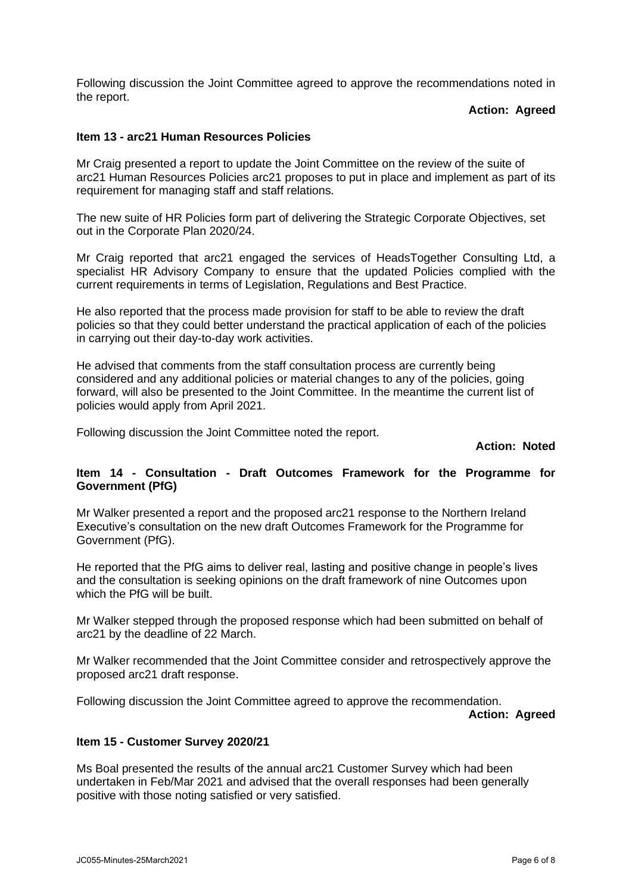Following discussion the Joint Committee agreed to approve the recommendations noted in the report.

## **Action: Agreed**

#### **Item 13 - arc21 Human Resources Policies**

Mr Craig presented a report to update the Joint Committee on the review of the suite of arc21 Human Resources Policies arc21 proposes to put in place and implement as part of its requirement for managing staff and staff relations.

The new suite of HR Policies form part of delivering the Strategic Corporate Objectives, set out in the Corporate Plan 2020/24.

Mr Craig reported that arc21 engaged the services of HeadsTogether Consulting Ltd, a specialist HR Advisory Company to ensure that the updated Policies complied with the current requirements in terms of Legislation, Regulations and Best Practice.

He also reported that the process made provision for staff to be able to review the draft policies so that they could better understand the practical application of each of the policies in carrying out their day-to-day work activities.

He advised that comments from the staff consultation process are currently being considered and any additional policies or material changes to any of the policies, going forward, will also be presented to the Joint Committee. In the meantime the current list of policies would apply from April 2021.

Following discussion the Joint Committee noted the report.

#### **Action: Noted**

## **Item 14 - Consultation - Draft Outcomes Framework for the Programme for Government (PfG)**

Mr Walker presented a report and the proposed arc21 response to the Northern Ireland Executive's consultation on the new draft Outcomes Framework for the Programme for Government (PfG).

He reported that the PfG aims to deliver real, lasting and positive change in people's lives and the consultation is seeking opinions on the draft framework of nine Outcomes upon which the PfG will be built.

Mr Walker stepped through the proposed response which had been submitted on behalf of arc21 by the deadline of 22 March.

Mr Walker recommended that the Joint Committee consider and retrospectively approve the proposed arc21 draft response.

Following discussion the Joint Committee agreed to approve the recommendation.

**Action: Agreed**

#### **Item 15 - Customer Survey 2020/21**

Ms Boal presented the results of the annual arc21 Customer Survey which had been undertaken in Feb/Mar 2021 and advised that the overall responses had been generally positive with those noting satisfied or very satisfied.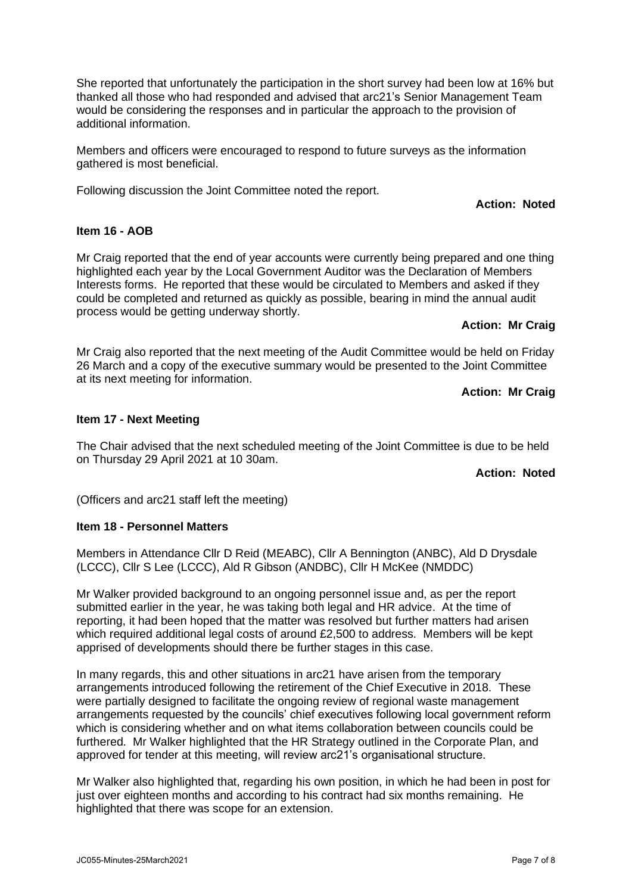She reported that unfortunately the participation in the short survey had been low at 16% but thanked all those who had responded and advised that arc21's Senior Management Team would be considering the responses and in particular the approach to the provision of additional information.

Members and officers were encouraged to respond to future surveys as the information gathered is most beneficial.

Following discussion the Joint Committee noted the report.

# **Action: Noted**

#### **Item 16 - AOB**

Mr Craig reported that the end of year accounts were currently being prepared and one thing highlighted each year by the Local Government Auditor was the Declaration of Members Interests forms. He reported that these would be circulated to Members and asked if they could be completed and returned as quickly as possible, bearing in mind the annual audit process would be getting underway shortly.

#### **Action: Mr Craig**

Mr Craig also reported that the next meeting of the Audit Committee would be held on Friday 26 March and a copy of the executive summary would be presented to the Joint Committee at its next meeting for information.

## **Action: Mr Craig**

#### **Item 17 - Next Meeting**

The Chair advised that the next scheduled meeting of the Joint Committee is due to be held on Thursday 29 April 2021 at 10 30am.

**Action: Noted**

(Officers and arc21 staff left the meeting)

#### **Item 18 - Personnel Matters**

Members in Attendance Cllr D Reid (MEABC), Cllr A Bennington (ANBC), Ald D Drysdale (LCCC), Cllr S Lee (LCCC), Ald R Gibson (ANDBC), Cllr H McKee (NMDDC)

Mr Walker provided background to an ongoing personnel issue and, as per the report submitted earlier in the year, he was taking both legal and HR advice. At the time of reporting, it had been hoped that the matter was resolved but further matters had arisen which required additional legal costs of around £2,500 to address. Members will be kept apprised of developments should there be further stages in this case.

In many regards, this and other situations in arc21 have arisen from the temporary arrangements introduced following the retirement of the Chief Executive in 2018. These were partially designed to facilitate the ongoing review of regional waste management arrangements requested by the councils' chief executives following local government reform which is considering whether and on what items collaboration between councils could be furthered. Mr Walker highlighted that the HR Strategy outlined in the Corporate Plan, and approved for tender at this meeting, will review arc21's organisational structure.

Mr Walker also highlighted that, regarding his own position, in which he had been in post for just over eighteen months and according to his contract had six months remaining. He highlighted that there was scope for an extension.